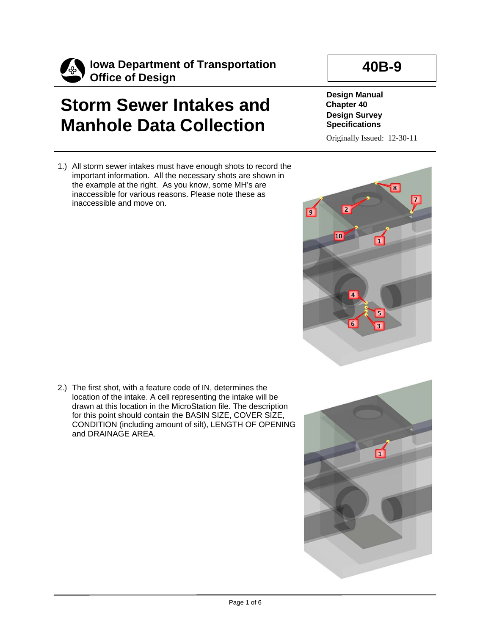

## **Storm Sewer Intakes and Manhole Data Collection**

1.) All storm sewer intakes must have enough shots to record the important information. All the necessary shots are shown in the example at the right. As you know, some MH's are inaccessible for various reasons. Please note these as inaccessible and move on.

## **40B-9**

**Design Manual Chapter 40 Design Survey Specifications**

Originally Issued: 12-30-11



2.) The first shot, with a feature code of IN, determines the location of the intake. A cell representing the intake will be drawn at this location in the MicroStation file. The description for this point should contain the BASIN SIZE, COVER SIZE, CONDITION (including amount of silt), LENGTH OF OPENING and DRAINAGE AREA.

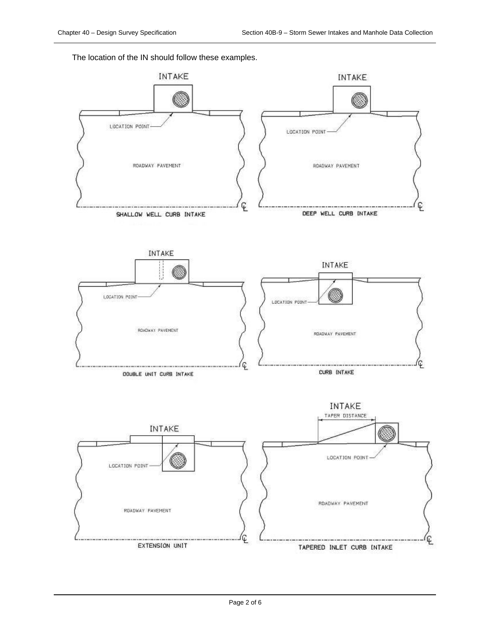The location of the IN should follow these examples.

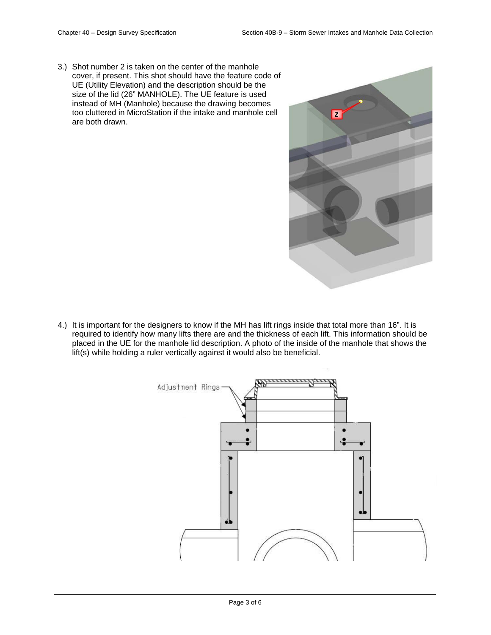3.) Shot number 2 is taken on the center of the manhole cover, if present. This shot should have the feature code of UE (Utility Elevation) and the description should be the size of the lid (26" MANHOLE). The UE feature is used instead of MH (Manhole) because the drawing becomes too cluttered in MicroStation if the intake and manhole cell are both drawn.



4.) It is important for the designers to know if the MH has lift rings inside that total more than 16". It is required to identify how many lifts there are and the thickness of each lift. This information should be placed in the UE for the manhole lid description. A photo of the inside of the manhole that shows the lift(s) while holding a ruler vertically against it would also be beneficial.

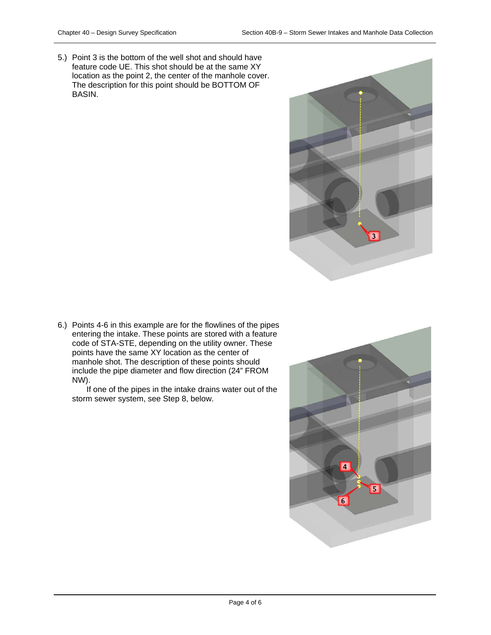5.) Point 3 is the bottom of the well shot and should have feature code UE. This shot should be at the same XY location as the point 2, the center of the manhole cover. The description for this point should be BOTTOM OF BASIN.



6.) Points 4-6 in this example are for the flowlines of the pipes entering the intake. These points are stored with a feature code of STA-STE, depending on the utility owner. These points have the same XY location as the center of manhole shot. The description of these points should include the pipe diameter and flow direction (24" FROM NW).

If one of the pipes in the intake drains water out of the storm sewer system, see Step 8, below.

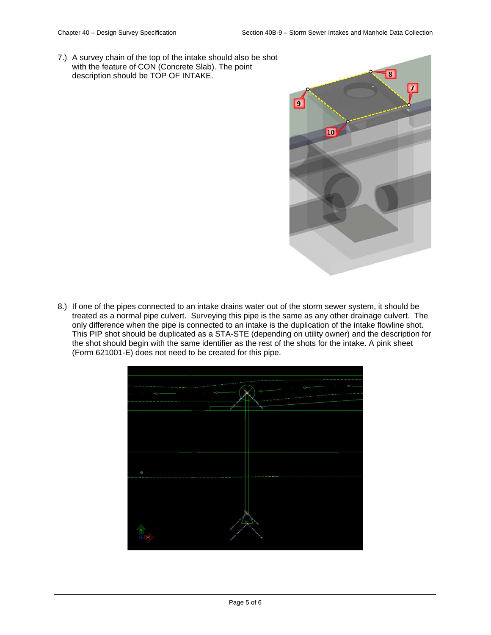7.) A survey chain of the top of the intake should also be shot with the feature of CON (Concrete Slab). The point description should be TOP OF INTAKE.



8.) If one of the pipes connected to an intake drains water out of the storm sewer system, it should be treated as a normal pipe culvert. Surveying this pipe is the same as any other drainage culvert. The only difference when the pipe is connected to an intake is the duplication of the intake flowline shot. This PIP shot should be duplicated as a STA-STE (depending on utility owner) and the description for the shot should begin with the same identifier as the rest of the shots for the intake. A pink sheet (Form 621001-E) does not need to be created for this pipe.

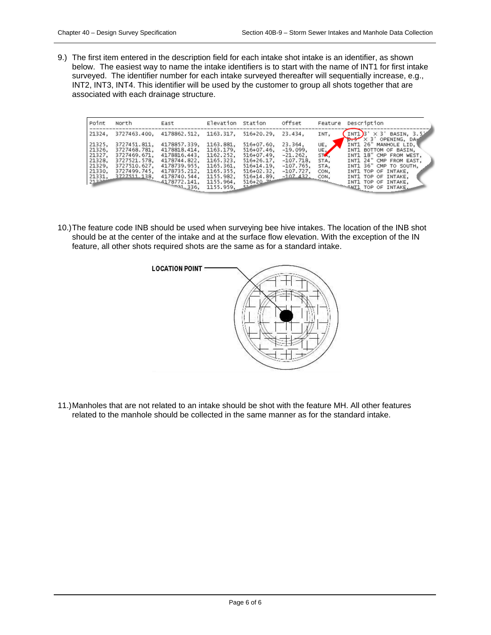9.) The first item entered in the description field for each intake shot intake is an identifier, as shown below. The easiest way to name the intake identifiers is to start with the name of INT1 for first intake surveyed. The identifier number for each intake surveyed thereafter will sequentially increase, e.g., INT2, INT3, INT4. This identifier will be used by the customer to group all shots together that are associated with each drainage structure.

| Point                                          | North                                                                        | East                                                                         | Elevation                                                     | Station                                                                         | offset                                                         | Feature                   | Description                                                                                                                    |
|------------------------------------------------|------------------------------------------------------------------------------|------------------------------------------------------------------------------|---------------------------------------------------------------|---------------------------------------------------------------------------------|----------------------------------------------------------------|---------------------------|--------------------------------------------------------------------------------------------------------------------------------|
| 21324.                                         |                                                                              | 3727463.400, 4178862.512,                                                    | 1163.317.                                                     | $516+20.29.$                                                                    | 23.434.                                                        | INT,                      | INT1)3' $\times$ 3' BASIN, 3.5"<br>$\rightarrow$ $\times$ 3' OPENING, DA                                                       |
| 21325.<br>21326.<br>21327.<br>21328.<br>21329. | 3727451.811,<br>3727468.781,<br>3727469.671,<br>3727521.578.<br>3727510.627. | 4178857.339.<br>4178818.414.<br>4178816.443.<br>4178744.822,<br>4178739.955, | 1163.881,<br>1163.179.<br>1162.252.<br>1165.323.<br>1165.361, | $516+07.60.$<br>$516+07.46$<br>$516+07.49$<br>$516 + 26.17$ ,<br>$516 + 14.19.$ | 23.364,<br>$-19.099.$<br>$-21.262$<br>$-107.718$<br>$-107.765$ | UE,<br>UE<br>STA,<br>STA. | INT1 26" MANHOLE LID,<br>INT1 BOTTOM OF BASIN.<br>INT1 18" CMP FROM WEST.<br>INT1 24" CMP FROM EAST,<br>INT1 36" CMP TO SOUTH, |
| 21330.<br>21331,<br>21222                      | 3727499.745,<br>$2727511, 138, 4178740.$<br>3727511, 138, 4178772, 141, 113, |                                                                              | 1165.355,<br>1155.982,<br>1155.964,<br>1155.959,              | $516 + 02.32$<br>$516 + 14.89.$<br>$516 + 20 - 74$<br>51.4                      | $-107.727$<br>$-107.432.$ CON,                                 | CON.                      | INT1 TOP OF INTAKE,<br>INT1 TOP OF INTAKE,<br>INT1 TOP OF INTAKE,<br>TAIL TOP OF INTAKE.                                       |

10.)The feature code INB should be used when surveying bee hive intakes. The location of the INB shot should be at the center of the intake and at the surface flow elevation. With the exception of the IN feature, all other shots required shots are the same as for a standard intake.



11.)Manholes that are not related to an intake should be shot with the feature MH. All other features related to the manhole should be collected in the same manner as for the standard intake.